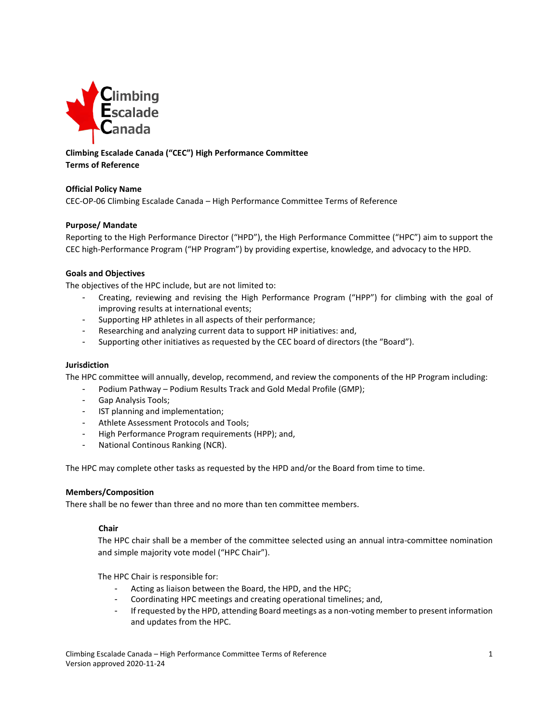

# **Climbing Escalade Canada ("CEC") High Performance Committee Terms of Reference**

## **Official Policy Name**

CEC-OP-06 Climbing Escalade Canada – High Performance Committee Terms of Reference

# **Purpose/ Mandate**

Reporting to the High Performance Director ("HPD"), the High Performance Committee ("HPC") aim to support the CEC high-Performance Program ("HP Program") by providing expertise, knowledge, and advocacy to the HPD.

## **Goals and Objectives**

The objectives of the HPC include, but are not limited to:

- Creating, reviewing and revising the High Performance Program ("HPP") for climbing with the goal of improving results at international events;
- Supporting HP athletes in all aspects of their performance;
- Researching and analyzing current data to support HP initiatives: and,
- Supporting other initiatives as requested by the CEC board of directors (the "Board").

#### **Jurisdiction**

The HPC committee will annually, develop, recommend, and review the components of the HP Program including:

- Podium Pathway Podium Results Track and Gold Medal Profile (GMP);
- Gap Analysis Tools;
- IST planning and implementation;
- Athlete Assessment Protocols and Tools;
- High Performance Program requirements (HPP); and,
- National Continous Ranking (NCR).

The HPC may complete other tasks as requested by the HPD and/or the Board from time to time.

## **Members/Composition**

There shall be no fewer than three and no more than ten committee members.

#### **Chair**

The HPC chair shall be a member of the committee selected using an annual intra-committee nomination and simple majority vote model ("HPC Chair").

The HPC Chair is responsible for:

- Acting as liaison between the Board, the HPD, and the HPC;
- Coordinating HPC meetings and creating operational timelines; and,
- If requested by the HPD, attending Board meetings as a non-voting member to present information and updates from the HPC.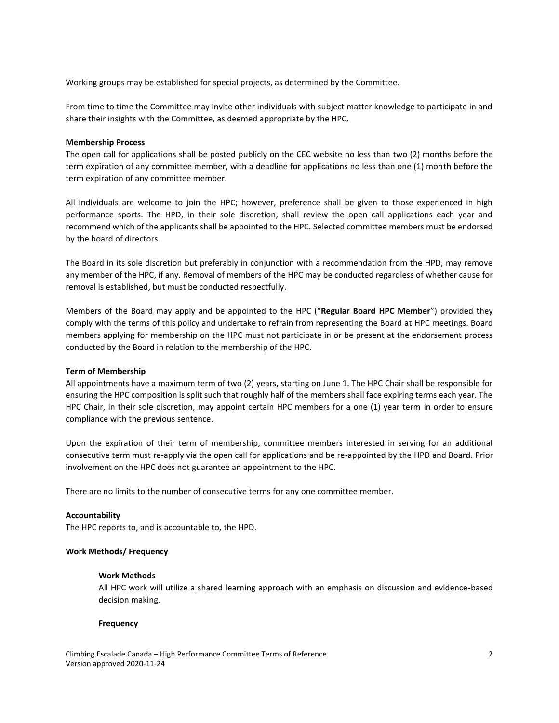Working groups may be established for special projects, as determined by the Committee.

From time to time the Committee may invite other individuals with subject matter knowledge to participate in and share their insights with the Committee, as deemed appropriate by the HPC.

#### **Membership Process**

The open call for applications shall be posted publicly on the CEC website no less than two (2) months before the term expiration of any committee member, with a deadline for applications no less than one (1) month before the term expiration of any committee member.

All individuals are welcome to join the HPC; however, preference shall be given to those experienced in high performance sports. The HPD, in their sole discretion, shall review the open call applications each year and recommend which of the applicants shall be appointed to the HPC. Selected committee members must be endorsed by the board of directors.

The Board in its sole discretion but preferably in conjunction with a recommendation from the HPD, may remove any member of the HPC, if any. Removal of members of the HPC may be conducted regardless of whether cause for removal is established, but must be conducted respectfully.

Members of the Board may apply and be appointed to the HPC ("**Regular Board HPC Member**") provided they comply with the terms of this policy and undertake to refrain from representing the Board at HPC meetings. Board members applying for membership on the HPC must not participate in or be present at the endorsement process conducted by the Board in relation to the membership of the HPC.

#### **Term of Membership**

All appointments have a maximum term of two (2) years, starting on June 1. The HPC Chair shall be responsible for ensuring the HPC composition is split such that roughly half of the members shall face expiring terms each year. The HPC Chair, in their sole discretion, may appoint certain HPC members for a one (1) year term in order to ensure compliance with the previous sentence.

Upon the expiration of their term of membership, committee members interested in serving for an additional consecutive term must re-apply via the open call for applications and be re-appointed by the HPD and Board. Prior involvement on the HPC does not guarantee an appointment to the HPC.

There are no limits to the number of consecutive terms for any one committee member.

#### **Accountability**

The HPC reports to, and is accountable to, the HPD.

#### **Work Methods/ Frequency**

#### **Work Methods**

All HPC work will utilize a shared learning approach with an emphasis on discussion and evidence-based decision making.

#### **Frequency**

Climbing Escalade Canada – High Performance Committee Terms of Reference 2 Version approved 2020-11-24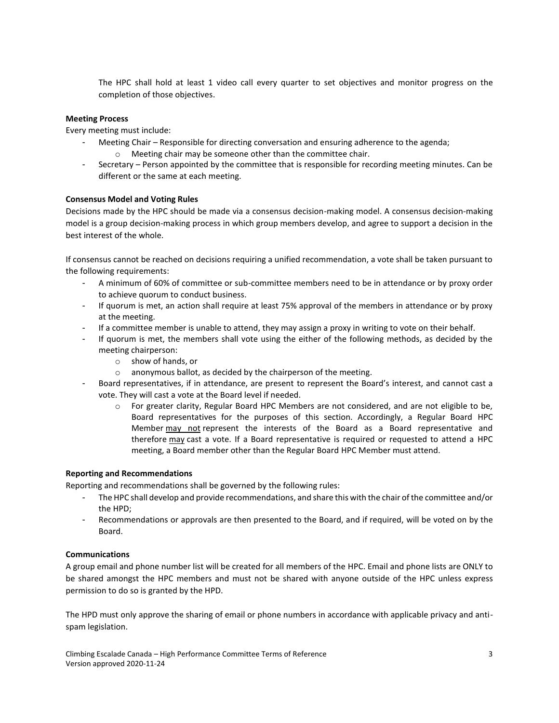The HPC shall hold at least 1 video call every quarter to set objectives and monitor progress on the completion of those objectives.

### **Meeting Process**

Every meeting must include:

- Meeting Chair Responsible for directing conversation and ensuring adherence to the agenda;
	- o Meeting chair may be someone other than the committee chair.
- Secretary Person appointed by the committee that is responsible for recording meeting minutes. Can be different or the same at each meeting.

#### **Consensus Model and Voting Rules**

Decisions made by the HPC should be made via a consensus decision-making model. A consensus decision-making model is a group decision-making process in which group members develop, and agree to support a decision in the best interest of the whole.

If consensus cannot be reached on decisions requiring a unified recommendation, a vote shall be taken pursuant to the following requirements:

- A minimum of 60% of committee or sub-committee members need to be in attendance or by proxy order to achieve quorum to conduct business.
- If quorum is met, an action shall require at least 75% approval of the members in attendance or by proxy at the meeting.
- If a committee member is unable to attend, they may assign a proxy in writing to vote on their behalf.
- If quorum is met, the members shall vote using the either of the following methods, as decided by the meeting chairperson:
	- o show of hands, or
	- o anonymous ballot, as decided by the chairperson of the meeting.
- Board representatives, if in attendance, are present to represent the Board's interest, and cannot cast a vote. They will cast a vote at the Board level if needed.
	- o For greater clarity, Regular Board HPC Members are not considered, and are not eligible to be, Board representatives for the purposes of this section. Accordingly, a Regular Board HPC Member may not represent the interests of the Board as a Board representative and therefore may cast a vote. If a Board representative is required or requested to attend a HPC meeting, a Board member other than the Regular Board HPC Member must attend.

#### **Reporting and Recommendations**

Reporting and recommendations shall be governed by the following rules:

- The HPC shall develop and provide recommendations, and share this with the chair of the committee and/or the HPD;
- Recommendations or approvals are then presented to the Board, and if required, will be voted on by the Board.

#### **Communications**

A group email and phone number list will be created for all members of the HPC. Email and phone lists are ONLY to be shared amongst the HPC members and must not be shared with anyone outside of the HPC unless express permission to do so is granted by the HPD.

The HPD must only approve the sharing of email or phone numbers in accordance with applicable privacy and antispam legislation.

Climbing Escalade Canada – High Performance Committee Terms of Reference 3 Version approved 2020-11-24